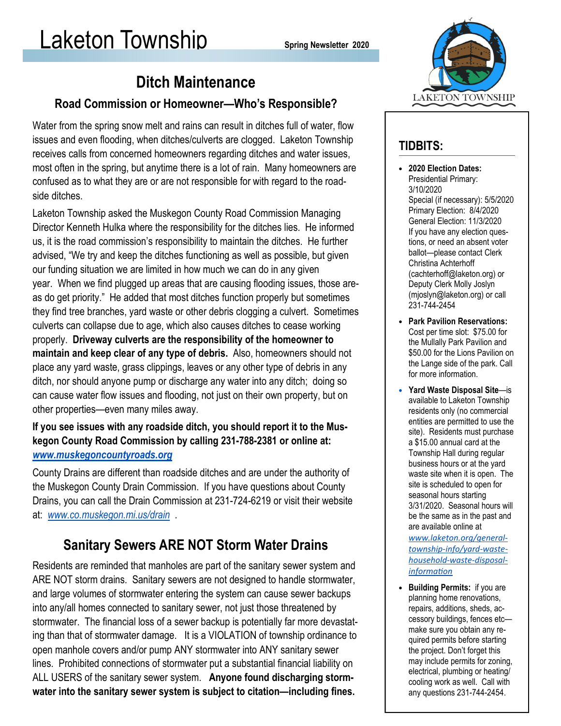## Ditch Maintenance

#### Road Commission or Homeowner—Who's Responsible?

Water from the spring snow melt and rains can result in ditches full of water, flow issues and even flooding, when ditches/culverts are clogged. Laketon Township receives calls from concerned homeowners regarding ditches and water issues, most often in the spring, but anytime there is a lot of rain. Many homeowners are confused as to what they are or are not responsible for with regard to the roadside ditches.

Laketon Township asked the Muskegon County Road Commission Managing Director Kenneth Hulka where the responsibility for the ditches lies. He informed us, it is the road commission's responsibility to maintain the ditches. He further advised, "We try and keep the ditches functioning as well as possible, but given our funding situation we are limited in how much we can do in any given year. When we find plugged up areas that are causing flooding issues, those areas do get priority." He added that most ditches function properly but sometimes they find tree branches, yard waste or other debris clogging a culvert. Sometimes culverts can collapse due to age, which also causes ditches to cease working properly. Driveway culverts are the responsibility of the homeowner to maintain and keep clear of any type of debris. Also, homeowners should not place any yard waste, grass clippings, leaves or any other type of debris in any ditch, nor should anyone pump or discharge any water into any ditch; doing so can cause water flow issues and flooding, not just on their own property, but on other properties—even many miles away.

#### If you see issues with any roadside ditch, you should report it to the Muskegon County Road Commission by calling 231-788-2381 or online at: www.muskegoncountyroads.org

County Drains are different than roadside ditches and are under the authority of the Muskegon County Drain Commission. If you have questions about County Drains, you can call the Drain Commission at 231-724-6219 or visit their website at: www.co.muskegon.mi.us/drain .

## Sanitary Sewers ARE NOT Storm Water Drains

Residents are reminded that manholes are part of the sanitary sewer system and ARE NOT storm drains. Sanitary sewers are not designed to handle stormwater, and large volumes of stormwater entering the system can cause sewer backups into any/all homes connected to sanitary sewer, not just those threatened by stormwater. The financial loss of a sewer backup is potentially far more devastating than that of stormwater damage. It is a VIOLATION of township ordinance to open manhole covers and/or pump ANY stormwater into ANY sanitary sewer lines. Prohibited connections of stormwater put a substantial financial liability on ALL USERS of the sanitary sewer system. Anyone found discharging stormwater into the sanitary sewer system is subject to citation—including fines.



#### TIDBITS:

- 2020 Election Dates: Presidential Primary: 3/10/2020 Special (if necessary): 5/5/2020 Primary Election: 8/4/2020 General Election: 11/3/2020 If you have any election questions, or need an absent voter ballot—please contact Clerk Christina Achterhoff (cachterhoff@laketon.org) or Deputy Clerk Molly Joslyn (mjoslyn@laketon.org) or call 231-744-2454
- Park Pavilion Reservations: Cost per time slot: \$75.00 for the Mullally Park Pavilion and \$50.00 for the Lions Pavilion on the Lange side of the park. Call for more information.
- Yard Waste Disposal Site—is available to Laketon Township residents only (no commercial entities are permitted to use the site). Residents must purchase a \$15.00 annual card at the Township Hall during regular business hours or at the yard waste site when it is open. The site is scheduled to open for seasonal hours starting 3/31/2020. Seasonal hours will be the same as in the past and are available online at www.laketon.org/generaltownship-info/yard-wastehousehold-waste-disposalinformation
- Building Permits: if you are planning home renovations, repairs, additions, sheds, accessory buildings, fences etc make sure you obtain any required permits before starting the project. Don't forget this may include permits for zoning, electrical, plumbing or heating/ cooling work as well. Call with any questions 231-744-2454.